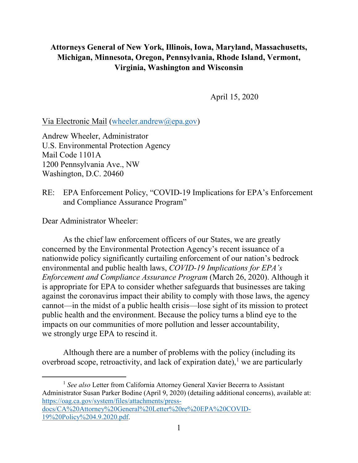## **Attorneys General of New York, Illinois, Iowa, Maryland, Massachusetts, Michigan, Minnesota, Oregon, Pennsylvania, Rhode Island, Vermont, Virginia, Washington and Wisconsin**

April 15, 2020

Via Electronic Mail [\(wheeler.andrew@epa.gov\)](mailto:wheeler.andrew@epa.gov)

Andrew Wheeler, Administrator U.S. Environmental Protection Agency Mail Code 1101A 1200 Pennsylvania Ave., NW Washington, D.C. 20460

RE: EPA Enforcement Policy, "COVID-19 Implications for EPA's Enforcement and Compliance Assurance Program"

Dear Administrator Wheeler:

 $\overline{a}$ 

As the chief law enforcement officers of our States, we are greatly concerned by the Environmental Protection Agency's recent issuance of a nationwide policy significantly curtailing enforcement of our nation's bedrock environmental and public health laws, *COVID-19 Implications for EPA's Enforcement and Compliance Assurance Program* (March 26, 2020). Although it is appropriate for EPA to consider whether safeguards that businesses are taking against the coronavirus impact their ability to comply with those laws, the agency cannot—in the midst of a public health crisis—lose sight of its mission to protect public health and the environment. Because the policy turns a blind eye to the impacts on our communities of more pollution and lesser accountability, we strongly urge EPA to rescind it.

Although there are a number of problems with the policy (including its overbroad scope, retroactivity, and lack of expiration date), $<sup>1</sup>$  $<sup>1</sup>$  $<sup>1</sup>$  we are particularly</sup>

<span id="page-0-0"></span><sup>1</sup> *See also* Letter from California Attorney General Xavier Becerra to Assistant Administrator Susan Parker Bodine (April 9, 2020) (detailing additional concerns), available at: [https://oag.ca.gov/system/files/attachments/press-](https://oag.ca.gov/system/files/attachments/press-docs/CA%20Attorney%20General%20Letter%20re%20EPA%20COVID-19%20Policy%204.9.2020.pdf)

[docs/CA%20Attorney%20General%20Letter%20re%20EPA%20COVID-](https://oag.ca.gov/system/files/attachments/press-docs/CA%20Attorney%20General%20Letter%20re%20EPA%20COVID-19%20Policy%204.9.2020.pdf)[19%20Policy%204.9.2020.pdf.](https://oag.ca.gov/system/files/attachments/press-docs/CA%20Attorney%20General%20Letter%20re%20EPA%20COVID-19%20Policy%204.9.2020.pdf)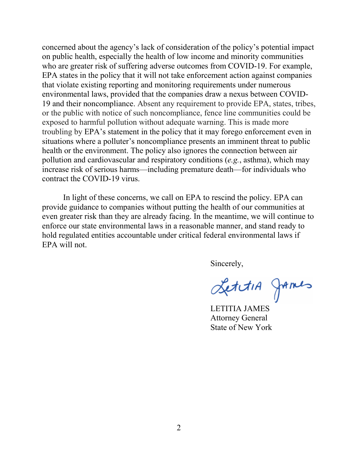concerned about the agency's lack of consideration of the policy's potential impact on public health, especially the health of low income and minority communities who are greater risk of suffering adverse outcomes from COVID-19. For example, EPA states in the policy that it will not take enforcement action against companies that violate existing reporting and monitoring requirements under numerous environmental laws, provided that the companies draw a nexus between COVID-19 and their noncompliance. Absent any requirement to provide EPA, states, tribes, or the public with notice of such noncompliance, fence line communities could be exposed to harmful pollution without adequate warning. This is made more troubling by EPA's statement in the policy that it may forego enforcement even in situations where a polluter's noncompliance presents an imminent threat to public health or the environment. The policy also ignores the connection between air pollution and cardiovascular and respiratory conditions (*e.g.*, asthma), which may increase risk of serious harms—including premature death—for individuals who contract the COVID-19 virus.

In light of these concerns, we call on EPA to rescind the policy. EPA can provide guidance to companies without putting the health of our communities at even greater risk than they are already facing. In the meantime, we will continue to enforce our state environmental laws in a reasonable manner, and stand ready to hold regulated entities accountable under critical federal environmental laws if EPA will not.

Sincerely,

LettiA games

LETITIA JAMES Attorney General State of New York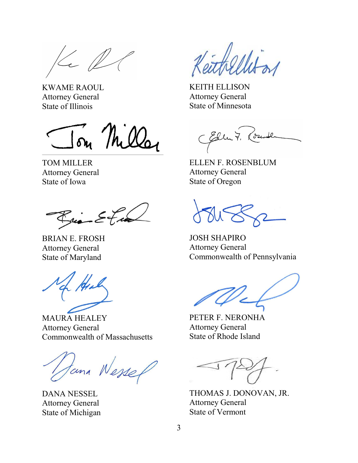$\ll \ell$ 

KWAME RAOUL Attorney General State of Illinois

Jon Miller

TOM MILLER Attorney General State of Iowa

 $\mathcal{K}_{\text{vis}} \leq 7$ 

BRIAN E. FROSH Attorney General State of Maryland

MAURA HEALEY Attorney General Commonwealth of Massachusetts

Hana Wesser

DANA NESSEL Attorney General State of Michigan

KEITH ELLISON Attorney General State of Minnesota

Eller 7, Com

ELLEN F. ROSENBLUM Attorney General State of Oregon

JOSH SHAPIRO Attorney General Commonwealth of Pennsylvania

PETER F. NERONHA Attorney General State of Rhode Island

THOMAS J. DONOVAN, JR. Attorney General State of Vermont